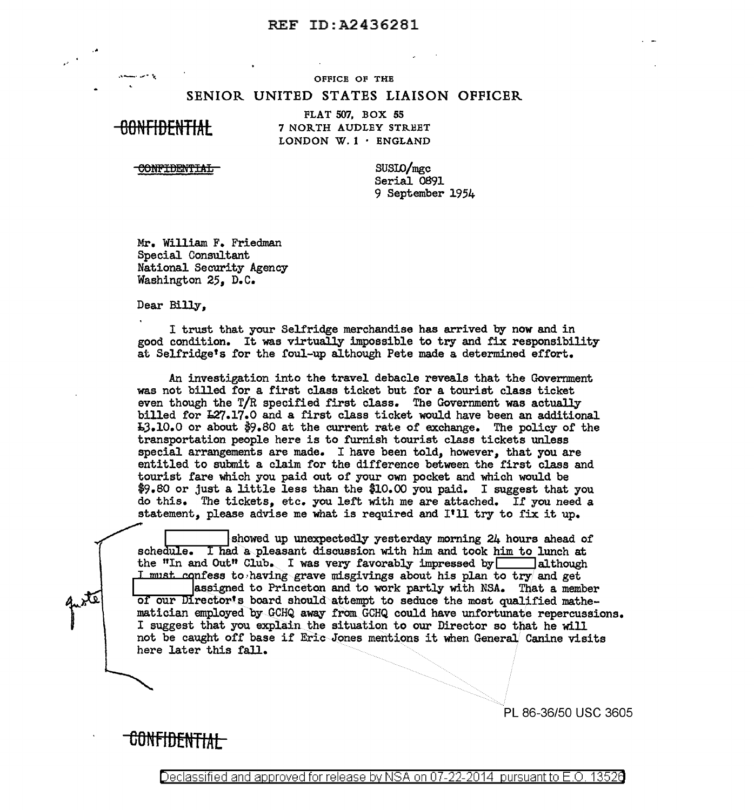## **REF ID:A2436281**

OFFICE OF THE

## SENIOR UNITED STATES LIAISON OFFICER

<del>00NFIDENTIAL</del>

FLAT 507, BOX 55 7 NORTH AUDLEY STREET LONDON W.  $1 \cdot$  ENGLAND

**CONFIDENTIAL** 

 $SUSLO/mgc$ Serial 0891 9 September 1954

Mr. William F. Friedman Special Consultant National Security Agency Washington 25, D.C.

Dear Billy,

I trust that your Selfridge merchandise has arrived by now and in good condition. It was virtually impossible to try and fix responsibility at Selfridge's for the foul-up although Pete made a determined effort.

An investigation into the travel debacle reveals that the Government was not billed for a first class ticket but for a tourist class ticket even though the  $T/R$  specified first class. The Government was actually billed for L27.17.0 and a first class ticket would have been an additional **I3.10.0** or about \$9.80 at the current rate of exchange. The policy of the transportation people here is to furnish tourist class tickets unless special arrangements are made. I have been told, however, that you are entitled to submit a claim for the difference between the first class and tourist fare which you paid out of your own pocket and which would be \$9.80 or just a little less than the \$10.00 you paid. I suggest that you do this. The tickets, etc. you left with me are attached. If you need a statement, please advise me what is required and I'll try to fix it up.

showed up unexpectedly yesterday morning 24 hours ahead of schedule. I had a pleasant discussion with him and took him to lunch at the "In and Out" Club. I was very favorably impressed by although I must confess to having grave misgivings about his plan to try and get assigned to Princeton and to work partly with NSA. That a member of our Director's board should attempt to seduce the most qualified mathematician employed by GCHQ away from GCHQ could have unfortunate repercussions. I suggest that you explain the situation to our Director so that he will not be caught off base if Eric Jones mentions it when General Canine visits here later this fall.

PL 86-36/50 USC 3605

CONFIDENTIAL

Declassified and approved for release by NSA on 07-22-2014  $\,$  pursuant to E.O. 13520  $\,$